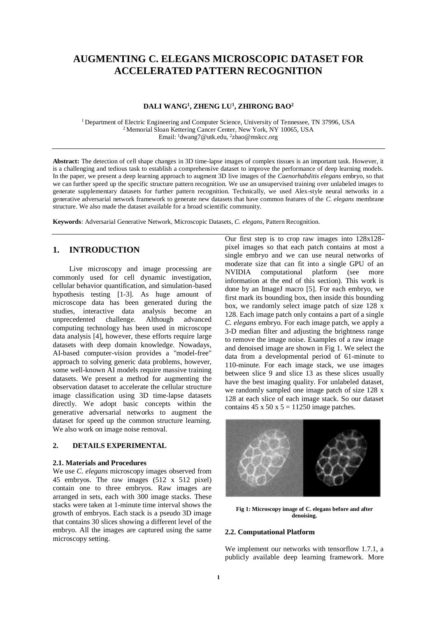# **AUGMENTING C. ELEGANS MICROSCOPIC DATASET FOR ACCELERATED PATTERN RECOGNITION**

## **DALI WANG<sup>1</sup> , ZHENG LU<sup>1</sup> , ZHIRONG BAO<sup>2</sup>**

<sup>1</sup> Department of Electric Engineering and Computer Science, University of Tennessee, TN 37996, USA <sup>2</sup> Memorial Sloan Kettering Cancer Center, New York, NY 10065, USA Email: <sup>1</sup>dwang7@utk.edu, <sup>2</sup>zbao@mskcc.org

**Abstract:** The detection of cell shape changes in 3D time-lapse images of complex tissues is an important task. However, it is a challenging and tedious task to establish a comprehensive dataset to improve the performance of deep learning models. In the paper, we present a deep learning approach to augment 3D live images of the *Caenorhabditis elegans* embryo, so that we can further speed up the specific structure pattern recognition. We use an unsupervised training over unlabeled images to generate supplementary datasets for further pattern recognition. Technically, we used Alex-style neural networks in a generative adversarial network framework to generate new datasets that have common features of the *C. elegans* membrane structure. We also made the dataset available for a broad scientific community.

**Keywords**: Adversarial Generative Network, Microscopic Datasets, *C. elegans*, Pattern Recognition.

## **1. INTRODUCTION**

Live microscopy and image processing are commonly used for cell dynamic investigation, cellular behavior quantification, and simulation-based hypothesis testing [1-3]. As huge amount of microscope data has been generated during the studies, interactive data analysis become an unprecedented challenge. Although advanced computing technology has been used in microscope data analysis [4], however, these efforts require large datasets with deep domain knowledge. Nowadays, AI-based computer-vision provides a "model-free" approach to solving generic data problems, however, some well-known AI models require massive training datasets. We present a method for augmenting the observation dataset to accelerate the cellular structure image classification using 3D time-lapse datasets directly. We adopt basic concepts within the generative adversarial networks to augment the dataset for speed up the common structure learning. We also work on image noise removal.

## **2. DETAILS EXPERIMENTAL**

#### **2.1. Materials and Procedures**

We use *C. elegans* microscopy images observed from 45 embryos. The raw images (512 x 512 pixel) contain one to three embryos. Raw images are arranged in sets, each with 300 image stacks. These stacks were taken at 1-minute time interval shows the growth of embryos. Each stack is a pseudo 3D image that contains 30 slices showing a different level of the embryo. All the images are captured using the same microscopy setting.

Our first step is to crop raw images into 128x128 pixel images so that each patch contains at most a single embryo and we can use neural networks of moderate size that can fit into a single GPU of an NVIDIA computational platform (see more information at the end of this section). This work is done by an ImageJ macro [5]. For each embryo, we first mark its bounding box, then inside this bounding box, we randomly select image patch of size 128 x 128. Each image patch only contains a part of a single *C. elegans* embryo. For each image patch, we apply a 3-D median filter and adjusting the brightness range to remove the image noise. Examples of a raw image and denoised image are shown in Fig 1. We select the data from a developmental period of 61-minute to 110-minute. For each image stack, we use images between slice 9 and slice 13 as these slices usually have the best imaging quality. For unlabeled dataset, we randomly sampled one image patch of size 128 x 128 at each slice of each image stack. So our dataset contains  $45 \times 50 \times 5 = 11250$  image patches.



**Fig 1: Microscopy image of C. elegans before and after denoising.**

## **2.2. Computational Platform**

We implement our networks with tensorflow 1.7.1, a publicly available deep learning framework. More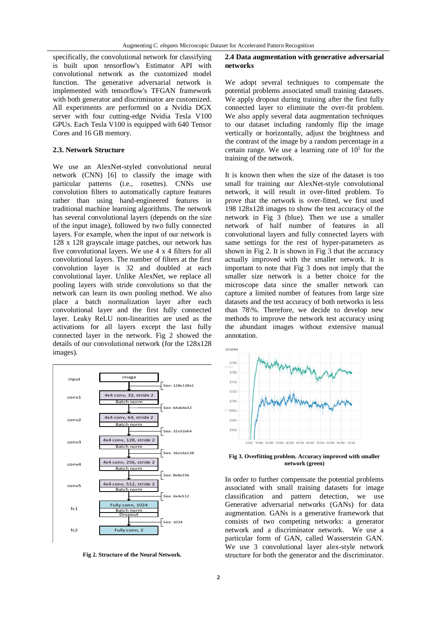specifically, the convolutional network for classifying is built upon tensorflow's Estimator API with convolutional network as the customized model function. The generative adversarial network is implemented with tensorflow's TFGAN framework with both generator and discriminator are customized. All experiments are performed on a Nvidia DGX server with four cutting-edge Nvidia Tesla V100 GPUs. Each Tesla V100 is equipped with 640 Tensor Cores and 16 GB memory.

#### **2.3. Network Structure**

We use an AlexNet-styled convolutional neural network (CNN) [6] to classify the image with particular patterns (i.e., rosettes). CNNs use convolution filters to automatically capture features rather than using hand-engineered features in traditional machine learning algorithms. The network has several convolutional layers (depends on the size of the input image), followed by two fully connected layers. For example, when the input of our network is 128 x 128 grayscale image patches, our network has five convolutional layers. We use 4 x 4 filters for all convolutional layers. The number of filters at the first convolution layer is 32 and doubled at each convolutional layer. Unlike AlexNet, we replace all pooling layers with stride convolutions so that the network can learn its own pooling method. We also place a batch normalization layer after each convolutional layer and the first fully connected layer. Leaky ReLU non-linearities are used as the activations for all layers except the last fully connected layer in the network. Fig 2 showed the details of our convolutional network (for the 128x128 images).



**Fig 2. Structure of the Neural Network.**

## **2.4 Data augmentation with generative adversarial networks**

We adopt several techniques to compensate the potential problems associated small training datasets. We apply dropout during training after the first fully connected layer to eliminate the over-fit problem. We also apply several data augmentation techniques to our dataset including randomly flip the image vertically or horizontally, adjust the brightness and the contrast of the image by a random percentage in a certain range. We use a learning rate of  $10<sup>5</sup>$  for the training of the network.

It is known then when the size of the dataset is too small for training our AlexNet-style convolutional network, it will result in over-fitted problem. To prove that the network is over-fitted, we first used 198 128x128 images to show the test accuracy of the network in Fig 3 (blue). Then we use a smaller network of half number of features in all convolutional layers and fully connected layers with same settings for the rest of hyper-parameters as shown in Fig 2. It is shown in Fig 3 that the accuracy actually improved with the smaller network. It is important to note that Fig 3 does not imply that the smaller size network is a better choice for the microscope data since the smaller network can capture a limited number of features from large size datasets and the test accuracy of both networks is less than 78\%. Therefore, we decide to develop new methods to improve the network test accuracy using the abundant images without extensive manual annotation.



**Fig 3. Overfitting problem. Accuracy improved with smaller network (green)**

In order to further compensate the potential problems associated with small training datasets for image classification and pattern detection, we use Generative adversarial networks (GANs) for data augmentation. GANs is a generative framework that consists of two competing networks: a generator network and a discriminator network. We use a particular form of GAN, called Wasserstein GAN. We use 3 convolutional layer alex-style network structure for both the generator and the discriminator.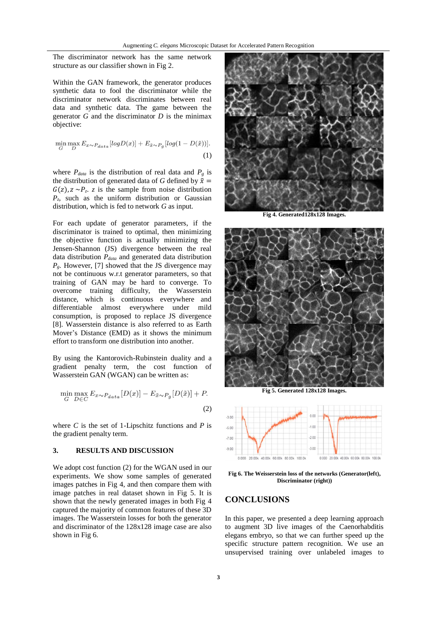The discriminator network has the same network structure as our classifier shown in Fig 2.

Within the GAN framework, the generator produces synthetic data to fool the discriminator while the discriminator network discriminates between real data and synthetic data. The game between the generator *G* and the discriminator *D* is the minimax objective:

$$
\min_{G} \max_{D} E_{x \sim P_{data}} [log D(x)] + E_{\tilde{x} \sim P_g} [log(1 - D(\tilde{x}))].
$$
\n(1)

where  $P_{data}$  is the distribution of real data and  $P_g$  is the distribution of generated data of *G* defined by  $\tilde{x}$  =  $G(z)$ ,  $z \sim P_z$ . *z* is the sample from noise distribution  $P<sub>z</sub>$  such as the uniform distribution or Gaussian distribution, which is fed to network *G* as input.

For each update of generator parameters, if the discriminator is trained to optimal, then minimizing the objective function is actually minimizing the Jensen-Shannon (JS) divergence between the real data distribution *Pdata* and generated data distribution  $P_g$ . However, [7] showed that the JS divergence may not be continuous w.r.t generator parameters, so that training of GAN may be hard to converge. To overcome training difficulty, the Wasserstein distance, which is continuous everywhere and differentiable almost everywhere under mild consumption, is proposed to replace JS divergence [8]. Wasserstein distance is also referred to as Earth Mover's Distance (EMD) as it shows the minimum effort to transform one distribution into another.

By using the Kantorovich-Rubinstein duality and a gradient penalty term, the cost function of Wasserstein GAN (WGAN) can be written as:

$$
\min_{G} \max_{D \in C} E_{x \sim P_{data}}[D(x)] - E_{\tilde{x} \sim P_g}[D(\tilde{x})] + P.
$$
\n(2)

where  $C$  is the set of 1-Lipschitz functions and  $P$  is the gradient penalty term.

## **3. RESULTS AND DISCUSSION**

We adopt cost function (2) for the WGAN used in our experiments. We show some samples of generated images patches in Fig 4, and then compare them with image patches in real dataset shown in Fig 5. It is shown that the newly generated images in both Fig 4 captured the majority of common features of these 3D images. The Wasserstein losses for both the generator and discriminator of the 128x128 image case are also shown in Fig 6.



**Fig 4. Generated128x128 Images.**



**Fig 5. Generated 128x128 Images.**



**Fig 6. The Weisserstein loss of the networks (Generator(left), Discriminator (right))**

## **CONCLUSIONS**

In this paper, we presented a deep learning approach to augment 3D live images of the Caenorhabditis elegans embryo, so that we can further speed up the specific structure pattern recognition. We use an unsupervised training over unlabeled images to